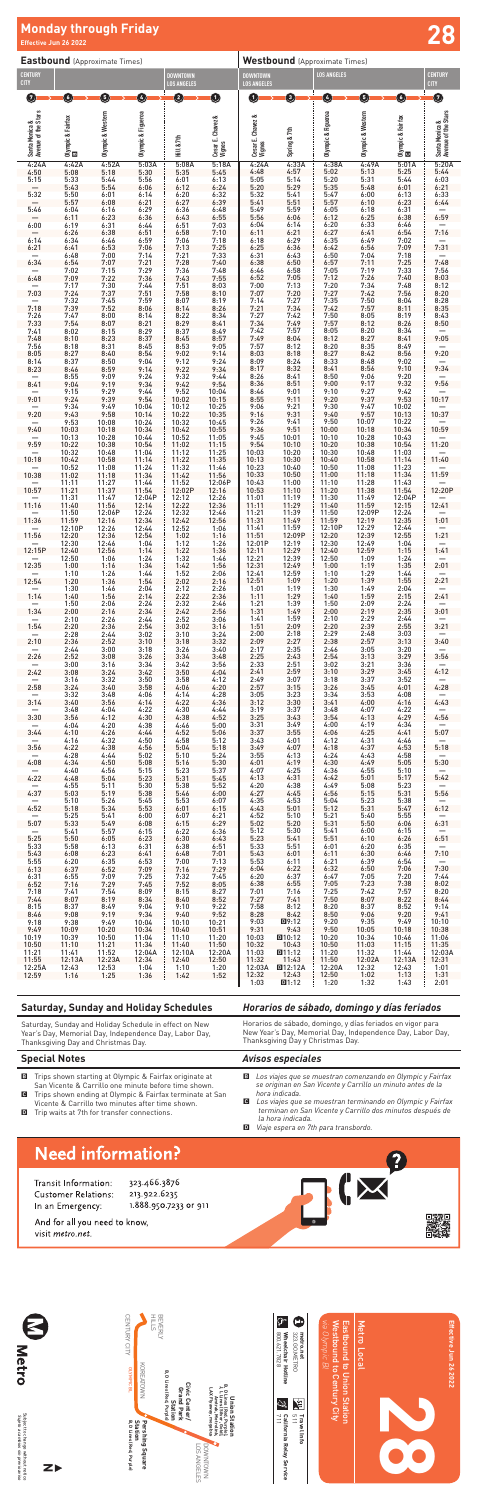

# **Effective Jun 26 2022 28 Monday through Friday**

| <b>Eastbound</b> (Approximate Times)  |                         |                         |                          |                                       |                             | <b>Westbound</b> (Approximate Times)  |                                   |                          |                          |                                   |                                       |
|---------------------------------------|-------------------------|-------------------------|--------------------------|---------------------------------------|-----------------------------|---------------------------------------|-----------------------------------|--------------------------|--------------------------|-----------------------------------|---------------------------------------|
| <b>CENTURY</b><br><b>CITY</b>         |                         |                         |                          | <b>DOWNTOWN</b><br><b>LOS ANGELES</b> |                             | <b>DOWNTOWN</b><br><b>LOS ANGELES</b> |                                   | <b>LOS ANGELES</b>       |                          |                                   | <b>CENTURY</b><br><b>CITY</b>         |
| Ø                                     | O                       | 0                       | Ø                        | 2                                     | $\mathbf 0$                 | $\bf 1$                               | ➊                                 | Ø                        | Q                        | 6                                 | 0                                     |
|                                       |                         |                         |                          |                                       |                             |                                       |                                   |                          |                          |                                   |                                       |
|                                       |                         | Olympic & Western       | Olympic & Figueroa       |                                       |                             |                                       |                                   | Olympic & Figueroa       | Olympic & Western        |                                   | Santa Monica &<br>Avenue of the Stars |
| Santa Monica &<br>Avenue of the Stars | Olympic & Fairfax<br>El |                         |                          | Hill & 7th                            | Cesar E. Chavez &<br>Vignes | Cesar E. Chavez &<br>Vignes           | Spring & 7th                      |                          |                          | Olympic & Fairfax<br><b>Calle</b> |                                       |
| 4:24A<br>4:50                         | 4:42A<br>5:08           | 4:52A<br>5:18           | 5:03A<br>5:30            | 5:08A<br>5:35                         | 5:18A<br>5:45               | 4:24A<br>4:48                         | 4:33A<br>4:57                     | 4:38A<br>5:02            | 4:49A<br>5:13            | 5:01A<br>5:25                     | 5:20A<br>5:44                         |
| 5:15                                  | 5:33<br>5:43            | 5:44<br>5:54            | 5:56<br>6:06             | 6:01<br>6:12                          | 6:13<br>6:24                | 5:05<br>5:20                          | 5:14<br>5:29                      | 5:20<br>5:35             | 5:31<br>5:48             | 5:44<br>6:01                      | 6:03<br>6:21                          |
| 5:32<br>5:46                          | 5:50<br>5:57<br>6:04    | 6:01<br>6:08<br>6:16    | 6:14<br>6:21<br>6:29     | 6:20<br>6:27<br>6:36                  | 6:32<br>6:39<br>6:48        | 5:32<br>5:41<br>5:49                  | 5:41<br>5:51<br>5:59              | 5:47<br>5:57<br>6:05     | 6:00<br>6:10<br>6:18     | 6:13<br>6:23<br>6:31              | 6:33<br>6:44                          |
| 6:00                                  | 6:11<br>6:19            | 6:23<br>6:31            | 6:36<br>6:44             | 6:43<br>6:51                          | 6:55<br>7:03                | 5:56<br>6:04                          | 6:06<br>6:14                      | 6:12<br>6:20             | 6:25<br>6:33             | 6:38<br>6:46                      | 6:59                                  |
| 6:14                                  | 6:26<br>6:34            | 6:38<br>6:46            | 6:51<br>6:59             | 6:58<br>7:06                          | 7:10<br>7:18                | 6:11<br>6:18                          | 6:21<br>6:29                      | 6:27<br>6:35             | 6:41<br>6:49             | 6:54<br>7:02                      | 7:16                                  |
| 6:21                                  | 6:41<br>6:48            | 6:53<br>7:00            | 7:06<br>7:14             | 7:13<br>7:21                          | 7:25<br>7:33                | 6:25<br>6:31                          | 6:36<br>6:43                      | 6:42<br>6:50             | 6:56<br>7:04             | 7:09<br>7:18                      | 7:31                                  |
| 6:34<br>6:48                          | 6:54<br>7:02            | 7:07<br>7:15<br>7:22    | 7:21<br>7:29             | 7:28<br>7:36<br>7:43                  | 7:40<br>7:48<br>7:55        | 6:38<br>6:46<br>6:52                  | 6:50<br>6:58<br>7:05              | 6:57<br>7:05<br>7:12     | 7:11<br>7:19<br>7:26     | 7:25<br>7:33<br>7:40              | 7:48<br>7:56<br>8:03                  |
| 7:03                                  | 7:09<br>7:17<br>7:24    | 7:30<br>7:37            | 7:36<br>7:44<br>7:51     | 7:51<br>7:58                          | 8:03<br>8:10                | 7:00<br>7:07                          | 7:13<br>7:20                      | 7:20<br>7:27             | 7:34<br>7:42             | 7:48<br>7:56                      | 8:12<br>8:20                          |
| 7:18                                  | 7:32<br>7:39            | 7:45<br>7:52            | 7:59<br>8:06             | 8:07<br>8:14                          | 8:19<br>8:26                | 7:14<br>7:21                          | 7:27<br>7:34                      | 7:35<br>7:42             | 7:50<br>7:57             | 8:04<br>8:11                      | 8:28<br>8:35                          |
| 7:26<br>7:33                          | 7:47<br>7:54            | 8:00<br>8:07            | 8:14<br>8:21             | 8:22<br>8:29                          | 8:34<br>8:41                | 7:27<br>7:34                          | 7:42<br>7:49                      | 7:50<br>7:57             | 8:05<br>8:12             | 8:19<br>8:26                      | 8:43<br>8:50                          |
| 7:41<br>7:48<br>7:56                  | 8:02<br>8:10<br>8:18    | 8:15<br>8:23<br>8:31    | 8:29<br>8:37<br>8:45     | 8:37<br>8:45<br>8:53                  | 8:49<br>8:57<br>9:05        | 7:42<br>7:49<br>7:57                  | 7:57<br>8:04<br>8:12              | 8:05<br>8:12<br>8:20     | 8:20<br>8:27<br>8:35     | 8:34<br>8:41<br>8:49              | 9:05                                  |
| 8:05<br>8:14                          | 8:27<br>8:37            | 8:40<br>8:50            | 8:54<br>9:04             | 9:02<br>9:12                          | 9:14<br>9:24                | 8:03<br>8:09                          | 8:18<br>8:24                      | 8:27<br>8:33             | 8:42<br>8:48             | 8:56<br>9:02                      | 9:20                                  |
| 8:23                                  | 8:46<br>8:55            | 8:59<br>9:09            | 9:14<br>9:24             | 9:22<br>9:32                          | 9:34<br>9:44                | 8:17<br>8:26                          | 8:32<br>8:41                      | 8:41<br>8:50             | 8:56<br>9:06             | 9:10<br>9:20                      | 9:34                                  |
| 8:41                                  | 9:04<br>9:15            | 9:19<br>9:29            | 9:34<br>9:44             | 9:42<br>9:52                          | 9:54<br>10:04               | 8:36<br>8:46                          | 8:51<br>9:01                      | 9:00<br>9:10             | 9:17<br>9:27             | 9:32<br>9:42                      | 9:56                                  |
| 9:01                                  | 9:24<br>9:34            | 9:39<br>9:49            | 9:54<br>10:04            | 10:02<br>10:12                        | 10:15<br>10:25              | 8:55<br>9:06                          | 9:11<br>9:21                      | 9:20<br>9:30             | 9:37<br>9:47             | 9:53<br>10:02                     | 10:17                                 |
| 9:20<br>9:40                          | 9:43<br>9:53<br>10:03   | 9:58<br>10:08<br>10:18  | 10:14<br>10:24<br>10:34  | 10:22<br>10:32<br>10:42               | 10:35<br>10:45<br>10:55     | 9:16<br>9:26<br>9:36                  | 9:31<br>9:41<br>9:51              | 9:40<br>9:50<br>10:00    | 9:57<br>10:07<br>10:18   | 10:13<br>10:22<br>10:34           | 10:37<br>10:59                        |
| 9:59                                  | 10:13<br>10:22          | 10:28<br>10:38          | 10:44<br>10:54           | 10:52<br>11:02                        | 11:05<br>11:15              | 9:45<br>9:54                          | 10:01<br>10:10                    | 10:10<br>10:20           | 10:28<br>10:38           | 10:43<br>10:54                    | 11:20                                 |
| 10:18                                 | 10:32<br>10:42          | 10:48<br>10:58          | 11:04<br>11:14           | 11:12<br>11:22                        | 11:25<br>11:35              | 10:03<br>10:13                        | 10:20<br>10:30                    | 10:30<br>10:40           | 10:48<br>10:58           | 11:03<br>11:14                    | 11:40                                 |
| 10:38                                 | 10:52<br>11:02          | 11:08<br>11:18          | 11:24<br>11:34           | 11:32<br>11:42                        | 11:46<br>11:56              | 10:23<br>10:33                        | 10:40<br>10:50                    | 10:50<br>11:00           | 11:08<br>11:18           | 11:23<br>11:34                    | 11:59                                 |
| 10:57                                 | 11:11<br>11:21<br>11:31 | 11:27<br>11:37<br>11:47 | 11:44<br>11:54<br>12:04P | 11:52<br>12:02P<br>12:12              | 12:06P<br>12:16<br>12:26    | 10:43<br>10:53<br>11:01               | 11:00<br>11:10<br>11:19           | 11:10<br>11:20<br>11:30  | 11:28<br>11:38<br>11:49  | 11:43<br>11:54<br>12:04P          | 12:20P                                |
| 11:16                                 | 11:40<br>11:50          | 11:56<br>12:06P         | 12:14<br>12:24           | 12:22<br>12:32                        | 12:36<br>12:46              | 11:11<br>11:21                        | 11:29<br>11:39                    | 11:40<br>11:50           | 11:59<br>12:09P          | 12:15<br>12:24                    | 12:41                                 |
| 11:36                                 | 11:59<br>12:10P         | 12:16<br>12:26          | 12:34<br>12:44           | 12:42<br>12:52                        | 12:56<br>1:06               | 11:31<br>11:41                        | 11:49<br>11:59                    | 11:59<br>12:10P          | 12:19<br>12:29           | 12:35<br>12:44                    | 1:01                                  |
| 11:56                                 | 12:20<br>12:30          | 12:36<br>12:46          | 12:54<br>1:04            | 1:02<br>1:12                          | 1:16<br>1:26                | 11:51<br>12:01P                       | 12:09P<br>12:19                   | 12:20<br>12:30           | 12:39<br>12:49<br>12:59  | 12:55<br>1:04                     | 1:21                                  |
| 12:15P<br>12:35                       | 12:40<br>12:50<br>1:00  | 12:56<br>1:06<br>1:16   | 1:14<br>1:24<br>1:34     | 1:22<br>1:32<br>1:42                  | 1:36<br>1:46<br>1:56        | 12:11<br>12:21<br>12:31               | 12:29<br>12:39<br>12:49           | 12:40<br>12:50<br>1:00   | 1:09<br>1:19             | 1:15<br>1:24<br>1:35              | 1:41<br>—<br>2:01                     |
| 12:54                                 | 1:10<br>1:20            | 1:26<br>1:36            | 1:44<br>1:54             | 1:52<br>2:02                          | 2:06<br>2:16                | 12:41<br>12:51                        | 12:59<br>1:09                     | 1:10<br>1:20             | $1:29$<br>$1:39$         | 1:44<br>1:55                      | 2:21                                  |
| 1:14                                  | 1:30<br>1:40            | 1:46<br>1:56            | 2:04<br>2:14             | 2:12<br>2:22                          | 2:26<br>2:36                | 1:01<br>1:11                          | 1:19<br>1:29                      | 1:30<br>1:40             | 1:49<br>1:59             | 2:04<br>2:15                      | 2:41                                  |
| 1:34                                  | 1:50<br>2:00            | 2:06<br>2:16            | 2:24<br>2:34             | 2:32<br>2:42                          | 2:46<br>2:56                | 1:21<br>1:31                          | 1:39<br>1:49                      | 1:50<br>2:00             | 2:09<br>2:19             | 2:24<br>2:35                      | 3:01                                  |
| 1:54                                  | 2:10<br>2:20<br>2:28    | 2:26<br>2:36<br>2:44    | 2:44<br>2:54<br>3:02     | 2:52<br>3:02<br>3:10                  | 3:06<br>3:16<br>3:24        | 1:41<br>1:51<br>2:00                  | 1:59<br>2:09<br>2:18              | 2:10<br>2:20<br>2:29     | $2:29$<br>$2:39$<br>2:48 | 2:44<br>2:55<br>3:03              | 3:21                                  |
| 2:10                                  | 2:36<br>2:44            | 2:52<br>3:00            | 3:10<br>3:18             | 3:18<br>3:26                          | 3:32<br>3:40                | 2:09<br>2:17                          | 2:27<br>2:35                      | 2:38<br>2:46             | 2:57<br>3:05             | 3:13<br>3:20                      | 3:40                                  |
| 2:26                                  | 2:52<br>3:00            | 3:08<br>3:16            | 3:26<br>3:34             | 3:34<br>3:42                          | 3:48<br>3:56                | 2:25<br>2:33                          | 2:43<br>2:51                      | 2:54<br>3:02             | 3:13<br>3:21             | 3:29<br>3:36                      | 3:56                                  |
| 2:42                                  | 3:08<br>3:16            | 3:24<br>3:32            | 3:42<br>3:50             | 3:50<br>3:58                          | 4:04<br>4:12                | 2:41<br>2:49                          | 2:59<br>3:07                      | 3:10<br>3:18             | 3:29<br>3:37             | 3:45<br>3:52                      | 4:12                                  |
| 2:58<br>3:14                          | 3:24<br>3:32<br>3:40    | 3:40<br>3:48<br>3:56    | 3:58<br>4:06<br>4:14     | 4:06<br>4:14<br>4:22                  | 4:20<br>4:28<br>4:36        | 2:57<br>3:05<br>3:12                  | 3:15<br>3:23<br>3:30              | 3:26<br>3:34<br>3:41     | 3:45<br>3:53<br>4:00     | 4:01<br>4:08<br>4:16              | 4:28<br>4:43                          |
| 3:30                                  | 3:48<br>3:56            | 4:04<br>4:12            | 4:22<br>4:30             | 4:30<br>4:38                          | 4:44<br>4:52                | 3:19<br>3:25                          | 3:37<br>3:43                      | 3:48<br>3:54             | 4:07<br>4:13             | 4:22<br>4:29                      | $-4:56$                               |
| 3:44                                  | 4:04<br>4:10            | 4:20<br>4:26            | 4:38<br>4:44             | 4:46<br>4:52                          | 5:00<br>5:06                | 3:31<br>3:37                          | 3:49<br>3:55                      | 4:00<br>4:06             | 4:19<br>4:25             | 4:34<br>4:41                      | 5:07                                  |
| 3:56                                  | 4:16<br>4:22            | 4:32<br>4:38            | 4:50<br>4:56             | 4:58<br>5:04                          | 5:12<br>5:18                | 3:43<br>3:49                          | 4:01<br>4:07                      | 4:12<br>4:18             | 4:31<br>4:37             | 4:46<br>4:53                      | 5:18                                  |
| 4:08                                  | 4:28<br>4:34<br>4:40    | 4:44<br>4:50<br>4:56    | 5:02<br>5:08<br>5:15     | 5:10<br>5:16<br>5:23                  | 5:24<br>5:30<br>5:37        | 3:55<br>4:01<br>4:07                  | 4:13<br>4:19<br>4:25              | 4:24<br>4:30<br>4:36     | 4:43<br>4:49<br>4:55     | 4:58<br>5:05<br>5:10              | 5:30                                  |
| 4:22                                  | 4:48<br>4:55            | 5:04<br>5:11            | 5:23<br>5:30             | 5:31<br>5:38                          | 5:45<br>5:52                | 4:13<br>4:20                          | 4:31<br>4:38                      | 4:42<br>4:49             | 5:01<br>5:08             | 5:17<br>5:23                      | 5:42                                  |
| 4:37                                  | 5:03<br>5:10            | 5:19<br>5:26            | 5:38<br>5:45             | 5:46<br>5:53                          | 6:00<br>6:07                | 4:27<br>4:35                          | 4:45<br>4:53                      | 4:56<br>5:04             | 5:15<br>5:23             | 5:31<br>5:38                      | 5:56                                  |
| 4:52                                  | 5:18<br>5:25            | 5:34<br>5:41            | 5:53<br>6:00             | 6:01<br>6:07                          | 6:15<br>6:21                | 4:43<br>4:52                          | 5:01<br>5:10                      | 5:12<br>5:21             | 5:31<br>5:40             | 5:47<br>5:55                      | 6:12                                  |
| 5:07<br>5:25                          | 5:33<br>5:41<br>5:50    | 5:49<br>5:57<br>6:05    | 6:08<br>6:15<br>6:23     | 6:15<br>6:22<br>6:30                  | 6:29<br>6:36<br>6:43        | 5:02<br>5:12<br>5:23                  | 5:20<br>5:30<br>5:41              | 5:31<br>5:41<br>5:51     | 5:50<br>6:00<br>6:10     | 6:06<br>6:15<br>6:26              | 6:31<br>6:51                          |
| 5:33<br>5:43                          | 5:58<br>6:08            | 6:13<br>6:23            | 6:31<br>6:41             | 6:38<br>6:48                          | 6:51<br>7:01                | 5:33<br>5:43                          | 5:51<br>6:01                      | 6:01<br>6:11             | 6:20<br>6:30             | 6:35<br>6:46                      | 7:10                                  |
| 5:55<br>6:13                          | 6:20<br>6:37            | 6:35<br>6:52            | 6:53<br>7:09             | 7:00<br>7:16                          | 7:13<br>7:29                | 5:53<br>6:04                          | 6:11<br>6:22                      | 6:21<br>6:32             | 6:39<br>6:50             | 6:54<br>7:06                      | 7:30                                  |
| 6:31<br>6:52                          | 6:55<br>7:16            | 7:09<br>7:29            | 7:25<br>7:45             | 7:32<br>7:52                          | 7:45<br>8:05                | 6:20<br>6:38                          | 6:37<br>6:55                      | 6:47<br>7:05             | 7:05<br>7:23             | 7:20<br>7:38                      | 7:44<br>8:02                          |
| 7:18<br>7:44<br>8:15                  | 7:41<br>8:07<br>8:37    | 7:54<br>8:19<br>8:49    | 8:09<br>8:34<br>9:04     | 8:15<br>8:40<br>9:10                  | 8:27<br>8:52<br>9:22        | 7:01<br>7:27<br>7:58                  | 7:16<br>7:41<br>8:12              | 7:25<br>7:50<br>8:20     | 7:42<br>8:07<br>8:37     | 7:57<br>8:22<br>8:52              | 8:20<br>8:44<br>9:14                  |
| 8:46<br>9:18                          | 9:08<br>9:38            | 9:19<br>9:49            | 9:34<br>10:04            | 9:40<br>10:10                         | 9:52<br>10:21               | 8:28<br>9:03                          | 8:42<br>D9:12                     | 8:50<br>9:20             | 9:06<br>9:35             | 9:20<br>9:49                      | 9:41<br>10:10                         |
| 9:49<br>10:19                         | 10:09<br>10:39          | 10:20<br>10:50          | 10:34<br>11:04           | 10:40<br>11:10                        | 10:51<br>11:20              | 9:31<br>10:03                         | 9:43<br>D10:12                    | 9:50<br>10:20            | 10:05<br>10:34           | 10:18<br>10:46                    | 10:38<br>11:06                        |
| 10:50<br>11:21                        | 11:10<br>11:41          | 11:21<br>11:52          | 11:34<br>12:04A          | 11:40<br>12:10A                       | 11:50<br>12:20A             | 10:32<br>11:03                        | 10:43<br>D11:12                   | 10:50<br>11:20           | 11:03<br>11:32           | 11:15<br>11:44                    | 11:35<br>12:03A                       |
| 11:55<br>12:25A<br>12:59              | 12:13A<br>12:43<br>1:16 | 12:23A<br>12:53<br>1:25 | 12:34<br>1:04<br>1:36    | 12:40<br>1:10<br>1:42                 | 12:50<br>1:20<br>1:52       | 11:32<br>12:03A<br>12:32              | 11:43<br><b>D</b> 12:12A<br>12:43 | 11:50<br>12:20A<br>12:50 | 12:02A<br>12:32<br>1:02  | 12:13A<br>12:43<br>1:13           | 12:31<br>1:01<br>1:31                 |
|                                       |                         |                         |                          |                                       |                             | 1:03                                  | D1:12                             | 1:20                     | 1:32                     | 1:43                              | 2:01                                  |

#### *Avisos especiales*

- **Special Notes**
- **B** Trips shown starting at Olympic & Fairfax originate at San Vicente & Carrillo one minute before time shown.
- C Trips shown ending at Olympic & Fairfax terminate at San Vicente & Carrillo two minutes after time shown.
- **D** Trip waits at 7th for transfer connections.
- B *Los viajes que se muestran comenzando en Olympic y Fairfax se originan en San Vicente y Carrillo un minuto antes de la hora indicada.*
- C *Los viajes que se muestran terminando en Olympic y Fairfax terminan en San Vicente y Carrillo dos minutos después de la hora indicada.*
- D *Viaje espera en 7th para transbordo.*



### *Horarios de sábado, domingo y días feriados*

Horarios de sábado, domingo, y días feriados en vigor para New Year's Day, Memorial Day, Independence Day, Labor Day, Thanksgiving Day y Christmas Day*.*

### **Saturday, Sunday and Holiday Schedules**

Saturday, Sunday and Holiday Schedule in effect on New Year's Day, Memorial Day, Independence Day, Labor Day, Thanksgiving Day and Christmas Day.